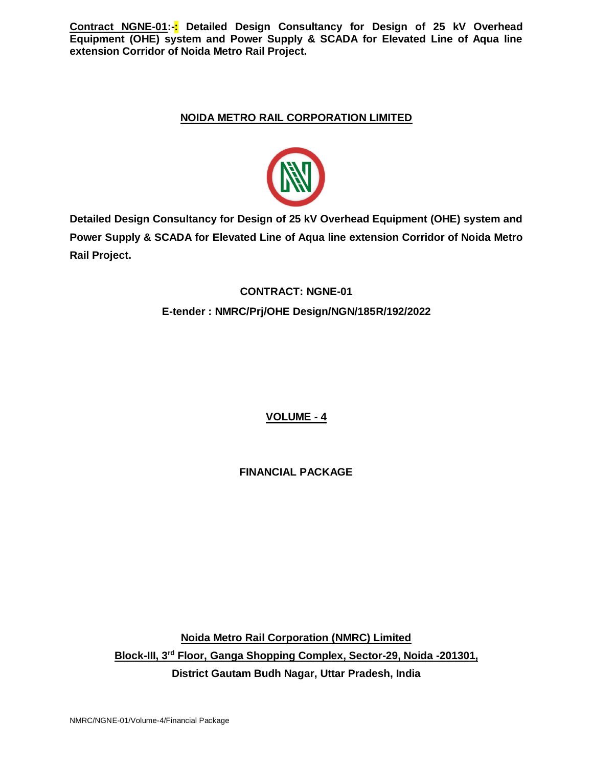# **NOIDA METRO RAIL CORPORATION LIMITED**



**Detailed Design Consultancy for Design of 25 kV Overhead Equipment (OHE) system and Power Supply & SCADA for Elevated Line of Aqua line extension Corridor of Noida Metro Rail Project.**

# **CONTRACT: NGNE-01 E-tender : NMRC/Prj/OHE Design/NGN/185R/192/2022**

**VOLUME - 4**

**FINANCIAL PACKAGE**

**Noida Metro Rail Corporation (NMRC) Limited Block-III, 3rd Floor, Ganga Shopping Complex, Sector-29, Noida -201301, District Gautam Budh Nagar, Uttar Pradesh, India**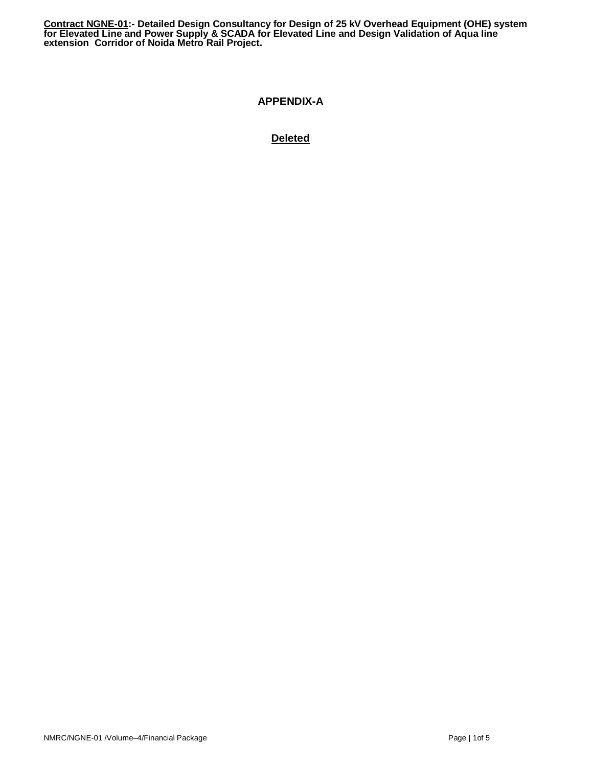## **APPENDIX-A**

# **Deleted**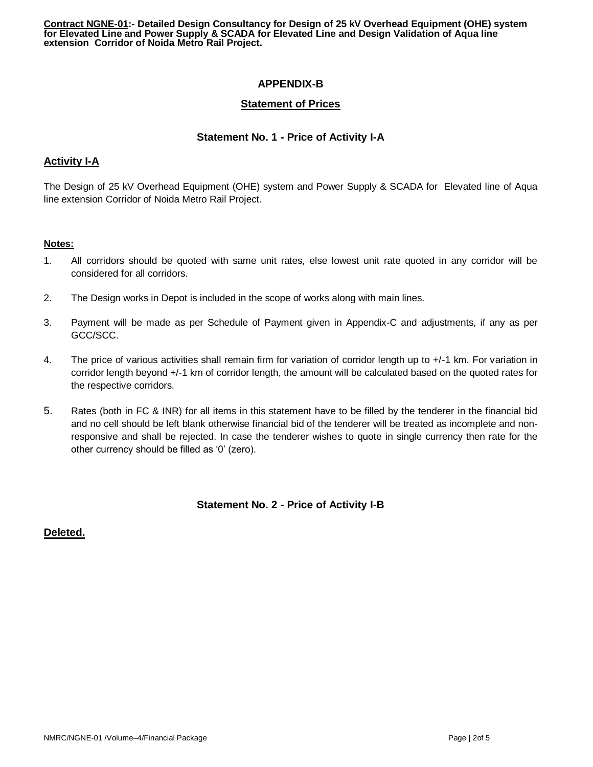# **APPENDIX-B**

## **Statement of Prices**

## **Statement No. 1 - Price of Activity I-A**

## **Activity I-A**

The Design of 25 kV Overhead Equipment (OHE) system and Power Supply & SCADA for Elevated line of Aqua line extension Corridor of Noida Metro Rail Project.

#### **Notes:**

- 1. All corridors should be quoted with same unit rates, else lowest unit rate quoted in any corridor will be considered for all corridors.
- 2. The Design works in Depot is included in the scope of works along with main lines.
- 3. Payment will be made as per Schedule of Payment given in Appendix-C and adjustments, if any as per GCC/SCC.
- 4. The price of various activities shall remain firm for variation of corridor length up to +/-1 km. For variation in corridor length beyond +/-1 km of corridor length, the amount will be calculated based on the quoted rates for the respective corridors.
- 5. Rates (both in FC & INR) for all items in this statement have to be filled by the tenderer in the financial bid and no cell should be left blank otherwise financial bid of the tenderer will be treated as incomplete and nonresponsive and shall be rejected. In case the tenderer wishes to quote in single currency then rate for the other currency should be filled as '0' (zero).

## **Statement No. 2 - Price of Activity I-B**

## **Deleted.**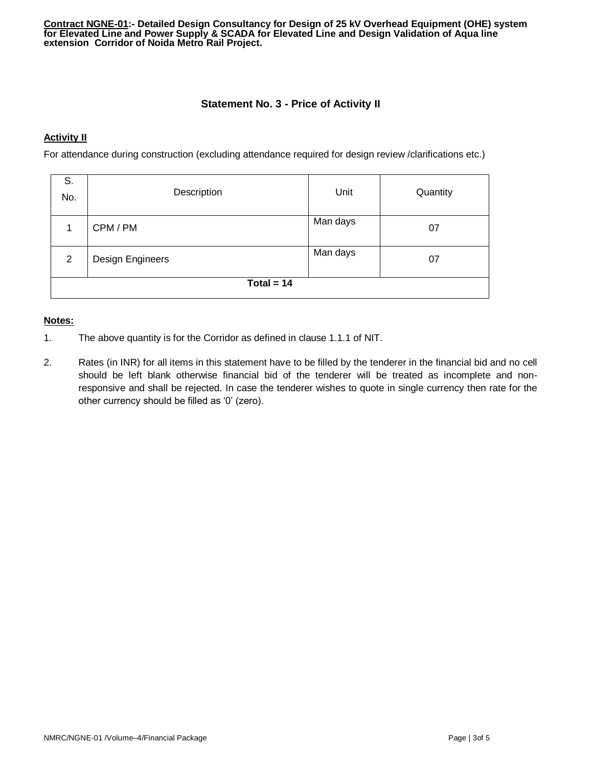## **Statement No. 3 - Price of Activity II**

#### **Activity II**

For attendance during construction (excluding attendance required for design review /clarifications etc.)

| S.<br>No.      | Description                        | Unit     | Quantity |  |  |  |
|----------------|------------------------------------|----------|----------|--|--|--|
|                | CPM / PM                           | Man days | 07       |  |  |  |
| $\overline{2}$ | Man days<br>Design Engineers<br>07 |          |          |  |  |  |
| Total = $14$   |                                    |          |          |  |  |  |

#### **Notes:**

- 1. The above quantity is for the Corridor as defined in clause 1.1.1 of NIT.
- 2. Rates (in INR) for all items in this statement have to be filled by the tenderer in the financial bid and no cell should be left blank otherwise financial bid of the tenderer will be treated as incomplete and nonresponsive and shall be rejected. In case the tenderer wishes to quote in single currency then rate for the other currency should be filled as '0' (zero).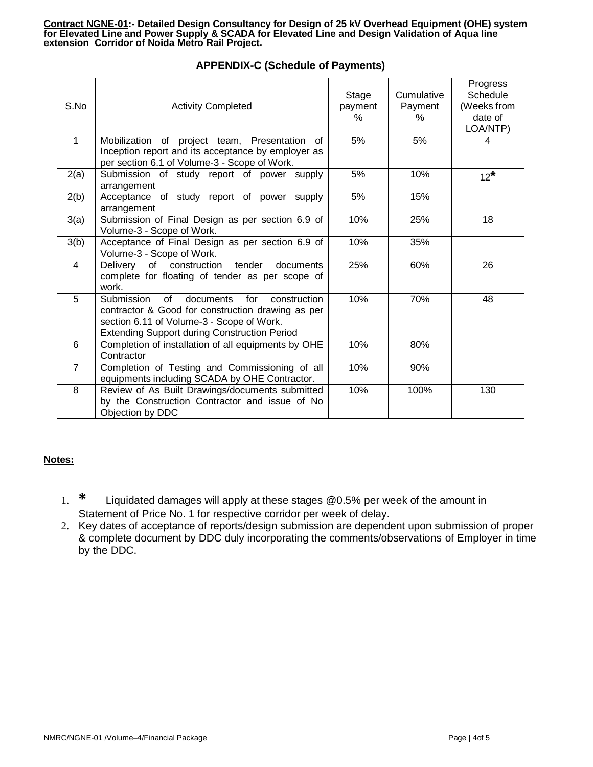| S.No           | <b>Activity Completed</b>                                                                                                                                                                                                                                                                                               | Stage<br>payment<br>$\%$ | Cumulative<br>Payment<br>% | Progress<br>Schedule<br>(Weeks from<br>date of<br>LOA/NTP) |
|----------------|-------------------------------------------------------------------------------------------------------------------------------------------------------------------------------------------------------------------------------------------------------------------------------------------------------------------------|--------------------------|----------------------------|------------------------------------------------------------|
| $\mathbf{1}$   | Mobilization of project team, Presentation<br>of<br>Inception report and its acceptance by employer as<br>per section 6.1 of Volume-3 - Scope of Work.                                                                                                                                                                  | 5%                       | 5%                         | 4                                                          |
| 2(a)           | Submission of study report of power supply<br>arrangement                                                                                                                                                                                                                                                               | 5%                       | 10%                        | $12^*$                                                     |
| 2(b)           | Acceptance of study report of power supply<br>arrangement                                                                                                                                                                                                                                                               | 5%                       | 15%                        |                                                            |
| 3(a)           | Submission of Final Design as per section 6.9 of<br>Volume-3 - Scope of Work.                                                                                                                                                                                                                                           | 10%                      | 25%                        | 18                                                         |
| 3(b)           | Acceptance of Final Design as per section 6.9 of<br>Volume-3 - Scope of Work.                                                                                                                                                                                                                                           | 10%                      | 35%                        |                                                            |
| $\overline{4}$ | of construction tender<br>Delivery<br>documents<br>complete for floating of tender as per scope of<br>work.                                                                                                                                                                                                             | 25%                      | 60%                        | 26                                                         |
| 5              | Submission<br>of the contract of the contract of the contract of the contract of the contract of the contract of the contract<br>documents for<br>construction<br>contractor & Good for construction drawing as per<br>section 6.11 of Volume-3 - Scope of Work.<br><b>Extending Support during Construction Period</b> | 10%                      | 70%                        | 48                                                         |
| 6              | Completion of installation of all equipments by OHE                                                                                                                                                                                                                                                                     | 10%                      | 80%                        |                                                            |
|                | Contractor                                                                                                                                                                                                                                                                                                              |                          |                            |                                                            |
| $\overline{7}$ | Completion of Testing and Commissioning of all<br>equipments including SCADA by OHE Contractor.                                                                                                                                                                                                                         | 10%                      | 90%                        |                                                            |
| 8              | Review of As Built Drawings/documents submitted<br>by the Construction Contractor and issue of No<br>Objection by DDC                                                                                                                                                                                                   | 10%                      | 100%                       | 130                                                        |

# **APPENDIX-C (Schedule of Payments)**

## **Notes:**

- 1. **\*** Liquidated damages will apply at these stages @0.5% per week of the amount in Statement of Price No. 1 for respective corridor per week of delay.
- 2. Key dates of acceptance of reports/design submission are dependent upon submission of proper & complete document by DDC duly incorporating the comments/observations of Employer in time by the DDC.